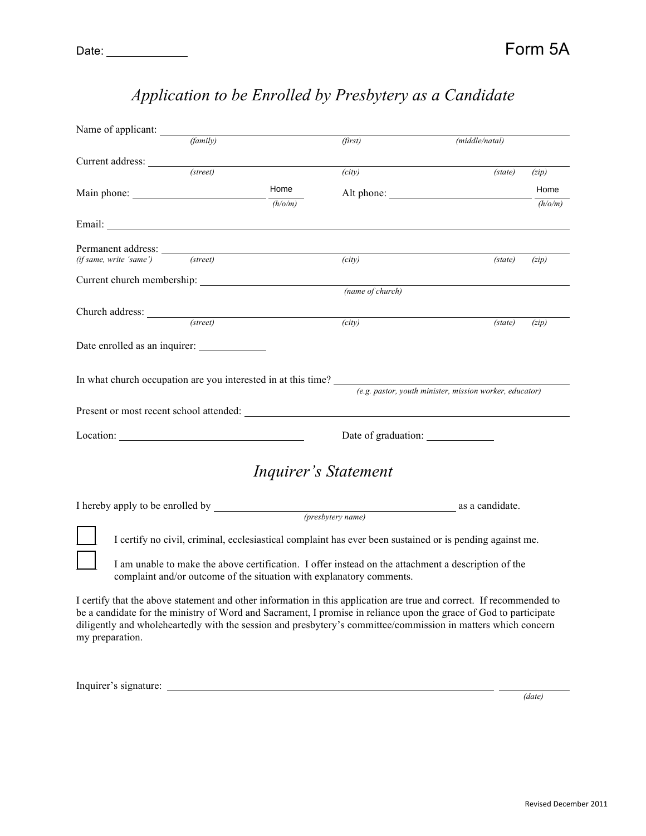| Name of applicant:                                                                                       |                                                                                                                                                                                                                                |                             |                |         |  |  |
|----------------------------------------------------------------------------------------------------------|--------------------------------------------------------------------------------------------------------------------------------------------------------------------------------------------------------------------------------|-----------------------------|----------------|---------|--|--|
| (family)                                                                                                 |                                                                                                                                                                                                                                | (first)                     | (middle/natal) |         |  |  |
| Current address:                                                                                         |                                                                                                                                                                                                                                |                             |                |         |  |  |
| (street)                                                                                                 |                                                                                                                                                                                                                                | (city)                      | (state)        | (zip)   |  |  |
|                                                                                                          | Home                                                                                                                                                                                                                           |                             | Alt phone:     | Home    |  |  |
|                                                                                                          | (h/o/m)                                                                                                                                                                                                                        |                             |                | (h/o/m) |  |  |
|                                                                                                          |                                                                                                                                                                                                                                |                             |                |         |  |  |
|                                                                                                          |                                                                                                                                                                                                                                |                             |                |         |  |  |
|                                                                                                          | Permanent address:<br>(if same. write 'same') (street)                                                                                                                                                                         | (city)                      | (state)        | (zip)   |  |  |
|                                                                                                          |                                                                                                                                                                                                                                |                             |                |         |  |  |
|                                                                                                          |                                                                                                                                                                                                                                | (name of church)            |                |         |  |  |
| Church address: (street)                                                                                 |                                                                                                                                                                                                                                |                             |                |         |  |  |
|                                                                                                          |                                                                                                                                                                                                                                | (city)                      | (state)        | (zip)   |  |  |
| Date enrolled as an inquirer:                                                                            |                                                                                                                                                                                                                                |                             |                |         |  |  |
|                                                                                                          |                                                                                                                                                                                                                                |                             |                |         |  |  |
|                                                                                                          |                                                                                                                                                                                                                                |                             |                |         |  |  |
|                                                                                                          | In what church occupation are you interested in at this time? $\frac{e.g.\text{ pastor, youth minister, mission worker, educator)}}{e.g. \text{pastor, youth minister, mission worker}}$                                       |                             |                |         |  |  |
|                                                                                                          | Present or most recent school attended: The contract of the contract of the contract of the contract of the contract of the contract of the contract of the contract of the contract of the contract of the contract of the co |                             |                |         |  |  |
| Location: Location:                                                                                      |                                                                                                                                                                                                                                | Date of graduation:         |                |         |  |  |
|                                                                                                          |                                                                                                                                                                                                                                |                             |                |         |  |  |
|                                                                                                          |                                                                                                                                                                                                                                | <i>Inquirer's Statement</i> |                |         |  |  |
|                                                                                                          |                                                                                                                                                                                                                                |                             |                |         |  |  |
|                                                                                                          |                                                                                                                                                                                                                                |                             |                |         |  |  |
| I certify no civil, criminal, ecclesiastical complaint has ever been sustained or is pending against me. |                                                                                                                                                                                                                                |                             |                |         |  |  |
| I am unable to make the above certification. I offer instead on the attachment a description of the      |                                                                                                                                                                                                                                |                             |                |         |  |  |
|                                                                                                          | complaint and/or outcome of the situation with explanatory comments.                                                                                                                                                           |                             |                |         |  |  |
|                                                                                                          | I certify that the above statement and other information in this application are true and correct. If recommended to                                                                                                           |                             |                |         |  |  |

## *Application to be Enrolled by Presbytery as a Candidate*

be a candidate for the ministry of Word and Sacrament, I promise in reliance upon the grace of God to participate diligently and wholeheartedly with the session and presbytery's committee/commission in matters which concern my preparation.

Inquirer's signature:

 *(date)*